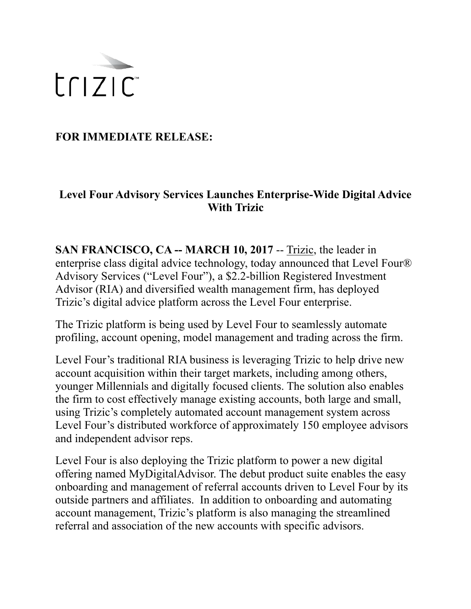

**FOR IMMEDIATE RELEASE:** 

## **Level Four Advisory Services Launches Enterprise-Wide Digital Advice With Trizic**

**SAN FRANCISCO, CA -- MARCH 10, 2017** -- [Trizic,](http://www.trizic.com) the leader in enterprise class digital advice technology, today announced that Level Four® Advisory Services ("Level Four"), a \$2.2-billion Registered Investment Advisor (RIA) and diversified wealth management firm, has deployed Trizic's digital advice platform across the Level Four enterprise.

The Trizic platform is being used by Level Four to seamlessly automate profiling, account opening, model management and trading across the firm.

Level Four's traditional RIA business is leveraging Trizic to help drive new account acquisition within their target markets, including among others, younger Millennials and digitally focused clients. The solution also enables the firm to cost effectively manage existing accounts, both large and small, using Trizic's completely automated account management system across Level Four's distributed workforce of approximately 150 employee advisors and independent advisor reps.

Level Four is also deploying the Trizic platform to power a new digital offering named MyDigitalAdvisor. The debut product suite enables the easy onboarding and management of referral accounts driven to Level Four by its outside partners and affiliates. In addition to onboarding and automating account management, Trizic's platform is also managing the streamlined referral and association of the new accounts with specific advisors.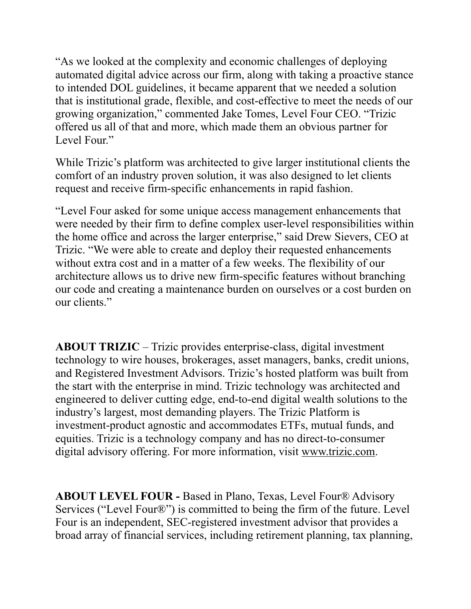"As we looked at the complexity and economic challenges of deploying automated digital advice across our firm, along with taking a proactive stance to intended DOL guidelines, it became apparent that we needed a solution that is institutional grade, flexible, and cost-effective to meet the needs of our growing organization," commented Jake Tomes, Level Four CEO. "Trizic offered us all of that and more, which made them an obvious partner for Level Four."

While Trizic's platform was architected to give larger institutional clients the comfort of an industry proven solution, it was also designed to let clients request and receive firm-specific enhancements in rapid fashion.

"Level Four asked for some unique access management enhancements that were needed by their firm to define complex user-level responsibilities within the home office and across the larger enterprise," said Drew Sievers, CEO at Trizic. "We were able to create and deploy their requested enhancements without extra cost and in a matter of a few weeks. The flexibility of our architecture allows us to drive new firm-specific features without branching our code and creating a maintenance burden on ourselves or a cost burden on our clients."

**ABOUT TRIZIC** – Trizic provides enterprise-class, digital investment technology to wire houses, brokerages, asset managers, banks, credit unions, and Registered Investment Advisors. Trizic's hosted platform was built from the start with the enterprise in mind. Trizic technology was architected and engineered to deliver cutting edge, end-to-end digital wealth solutions to the industry's largest, most demanding players. The Trizic Platform is investment-product agnostic and accommodates ETFs, mutual funds, and equities. Trizic is a technology company and has no direct-to-consumer digital advisory offering. For more information, visit [www.trizic.com.](http://www.trizic.com)

**ABOUT LEVEL FOUR -** Based in Plano, Texas, Level Four® Advisory Services ("Level Four®") is committed to being the firm of the future. Level Four is an independent, SEC-registered investment advisor that provides a broad array of financial services, including retirement planning, tax planning,